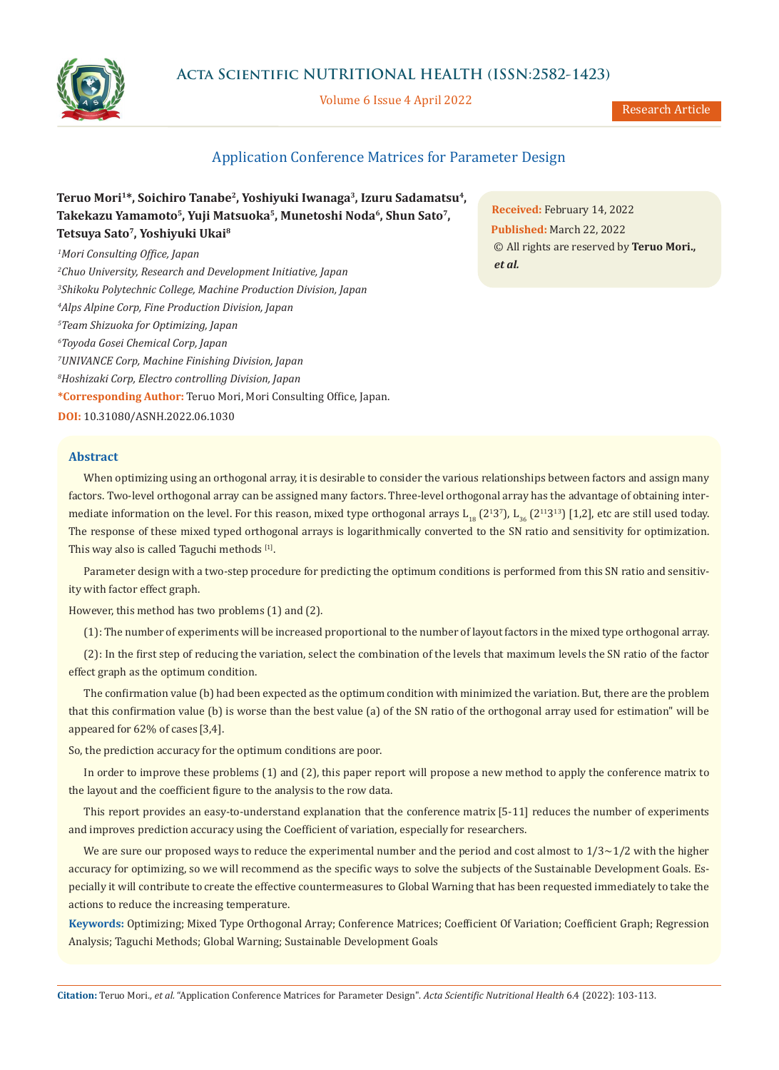

# **Acta Scientific NUTRITIONAL HEALTH (ISSN:2582-1423)**

Volume 6 Issue 4 April 2022

Research Article

# Application Conference Matrices for Parameter Design

| Teruo Mori <sup>1*</sup> , Soichiro Tanabe <sup>2</sup> , Yoshiyuki Iwanaga <sup>3</sup> , Izuru Sadamatsu <sup>4</sup> , |
|---------------------------------------------------------------------------------------------------------------------------|
| Takekazu Yamamoto <sup>5</sup> , Yuji Matsuoka <sup>5</sup> , Munetoshi Noda <sup>6</sup> , Shun Sato <sup>7</sup> ,      |
| Tetsuya Sato <sup>7</sup> , Yoshiyuki Ukai <sup>8</sup>                                                                   |

*1 Mori Consulting Office, Japan*

*2 Chuo University, Research and Development Initiative, Japan*

*3 Shikoku Polytechnic College, Machine Production Division, Japan*

*4 Alps Alpine Corp, Fine Production Division, Japan*

*5 Team Shizuoka for Optimizing, Japan*

*6 Toyoda Gosei Chemical Corp, Japan*

*7 UNIVANCE Corp, Machine Finishing Division, Japan*

*8 Hoshizaki Corp, Electro controlling Division, Japan*

**\*Corresponding Author:** Teruo Mori, Mori Consulting Office, Japan.

**DOI:** [10.31080/ASNH.2022.06.1030](https://actascientific.com/ASNH/pdf/ASNH-06-1030.pdf)

## **Abstract**

**Received:** February 14, 2022 **Published:** March 22, 2022 © All rights are reserved by **Teruo Mori.,**  *et al.*

When optimizing using an orthogonal array, it is desirable to consider the various relationships between factors and assign many factors. Two-level orthogonal array can be assigned many factors. Three-level orthogonal array has the advantage of obtaining intermediate information on the level. For this reason, mixed type orthogonal arrays  $L_{18}$  (2<sup>1</sup>3<sup>7</sup>),  $L_{36}$  (2<sup>11</sup>3<sup>13</sup>) [1,2], etc are still used today. The response of these mixed typed orthogonal arrays is logarithmically converted to the SN ratio and sensitivity for optimization. This way also is called Taguchi methods [1].

Parameter design with a two-step procedure for predicting the optimum conditions is performed from this SN ratio and sensitivity with factor effect graph.

However, this method has two problems (1) and (2).

(1): The number of experiments will be increased proportional to the number of layout factors in the mixed type orthogonal array.

(2): In the first step of reducing the variation, select the combination of the levels that maximum levels the SN ratio of the factor effect graph as the optimum condition.

The confirmation value (b) had been expected as the optimum condition with minimized the variation. But, there are the problem that this confirmation value (b) is worse than the best value (a) of the SN ratio of the orthogonal array used for estimation" will be appeared for 62% of cases [3,4].

So, the prediction accuracy for the optimum conditions are poor.

In order to improve these problems (1) and (2), this paper report will propose a new method to apply the conference matrix to the layout and the coefficient figure to the analysis to the row data.

This report provides an easy-to-understand explanation that the conference matrix [5-11] reduces the number of experiments and improves prediction accuracy using the Coefficient of variation, especially for researchers.

We are sure our proposed ways to reduce the experimental number and the period and cost almost to  $1/3 \sim 1/2$  with the higher accuracy for optimizing, so we will recommend as the specific ways to solve the subjects of the Sustainable Development Goals. Especially it will contribute to create the effective countermeasures to Global Warning that has been requested immediately to take the actions to reduce the increasing temperature.

**Keywords:** Optimizing; Mixed Type Orthogonal Array; Conference Matrices; Coefficient Of Variation; Coefficient Graph; Regression Analysis; Taguchi Methods; Global Warning; Sustainable Development Goals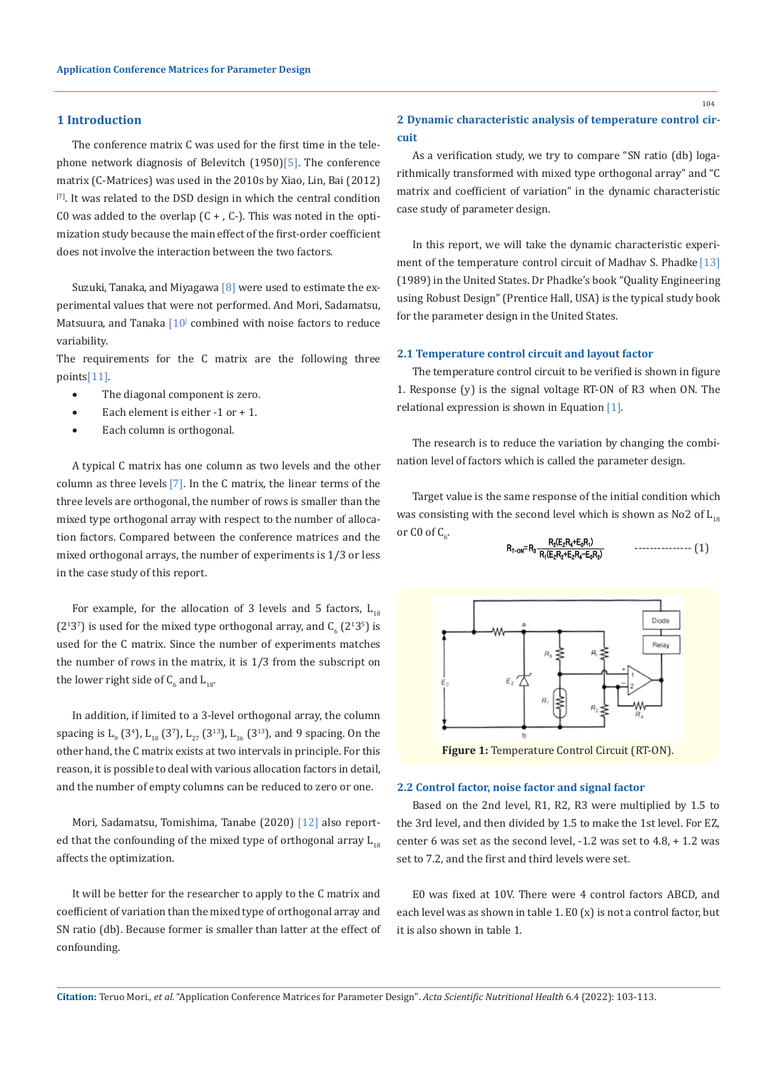### **1 Introduction**

The conference matrix C was used for the first time in the telephone network diagnosis of Belevitch (1950)[5]. The conference matrix (C-Matrices) was used in the 2010s by Xiao, Lin, Bai (2012) [7]. It was related to the DSD design in which the central condition C0 was added to the overlap  $(C + 0, C<sub>-</sub>)$ . This was noted in the optimization study because the main effect of the first-order coefficient does not involve the interaction between the two factors.

Suzuki, Tanaka, and Miyagawa  $[8]$  were used to estimate the experimental values that were not performed. And Mori, Sadamatsu, Matsuura, and Tanaka  $[10]$  combined with noise factors to reduce variability.

The requirements for the C matrix are the following three points[11].

- The diagonal component is zero.
- Each element is either -1 or + 1.
- Each column is orthogonal.

A typical C matrix has one column as two levels and the other column as three levels  $[7]$ . In the C matrix, the linear terms of the three levels are orthogonal, the number of rows is smaller than the mixed type orthogonal array with respect to the number of allocation factors. Compared between the conference matrices and the mixed orthogonal arrays, the number of experiments is 1/3 or less in the case study of this report.

For example, for the allocation of 3 levels and 5 factors,  $L_{18}$  $(2^{13})$  is used for the mixed type orthogonal array, and  $C_6$   $(2^{13})$  is used for the C matrix. Since the number of experiments matches the number of rows in the matrix, it is 1/3 from the subscript on the lower right side of  $\mathsf{C}_6$  and  $\mathsf{L}_{18}$ .

In addition, if limited to a 3-level orthogonal array, the column spacing is  $L_{9}$  (3<sup>4</sup>),  $L_{18}$  (3<sup>7</sup>),  $L_{27}$  (3<sup>13</sup>),  $L_{36}$  (3<sup>13</sup>), and 9 spacing. On the other hand, the C matrix exists at two intervals in principle. For this reason, it is possible to deal with various allocation factors in detail, and the number of empty columns can be reduced to zero or one.

Mori, Sadamatsu, Tomishima, Tanabe (2020) [12] also reported that the confounding of the mixed type of orthogonal array  $L_{18}$ affects the optimization.

It will be better for the researcher to apply to the C matrix and coefficient of variation than the mixed type of orthogonal array and SN ratio (db). Because former is smaller than latter at the effect of confounding.

## **2 Dynamic characteristic analysis of temperature control circuit**

As a verification study, we try to compare "SN ratio (db) logarithmically transformed with mixed type orthogonal array" and "C matrix and coefficient of variation" in the dynamic characteristic case study of parameter design.

In this report, we will take the dynamic characteristic experiment of the temperature control circuit of Madhav S. Phadke [13] (1989) in the United States. Dr Phadke's book "Quality Engineering using Robust Design" (Prentice Hall, USA) is the typical study book for the parameter design in the United States.

## **2.1 Temperature control circuit and layout factor**

The temperature control circuit to be verified is shown in figure 1. Response (y) is the signal voltage RT-ON of R3 when ON. The relational expression is shown in Equation [1].

The research is to reduce the variation by changing the combination level of factors which is called the parameter design.

Target value is the same response of the initial condition which was consisting with the second level which is shown as No2 of  $L_{18}$ or C0 of  $C_6$ .

$$
R_{T-ON} = R_3 \frac{R_2(E_2 R_4 + E_0 R_1)}{R_1(E_2 R_2 + E_2 R_4 - E_0 R_2)} \qquad \qquad \qquad 1.1
$$



**Figure 1:** Temperature Control Circuit (RT-ON).

#### **2.2 Control factor, noise factor and signal factor**

Based on the 2nd level, R1, R2, R3 were multiplied by 1.5 to the 3rd level, and then divided by 1.5 to make the 1st level. For EZ, center 6 was set as the second level, -1.2 was set to 4.8, + 1.2 was set to 7.2, and the first and third levels were set.

E0 was fixed at 10V. There were 4 control factors ABCD, and each level was as shown in table 1. E0 (x) is not a control factor, but it is also shown in table 1.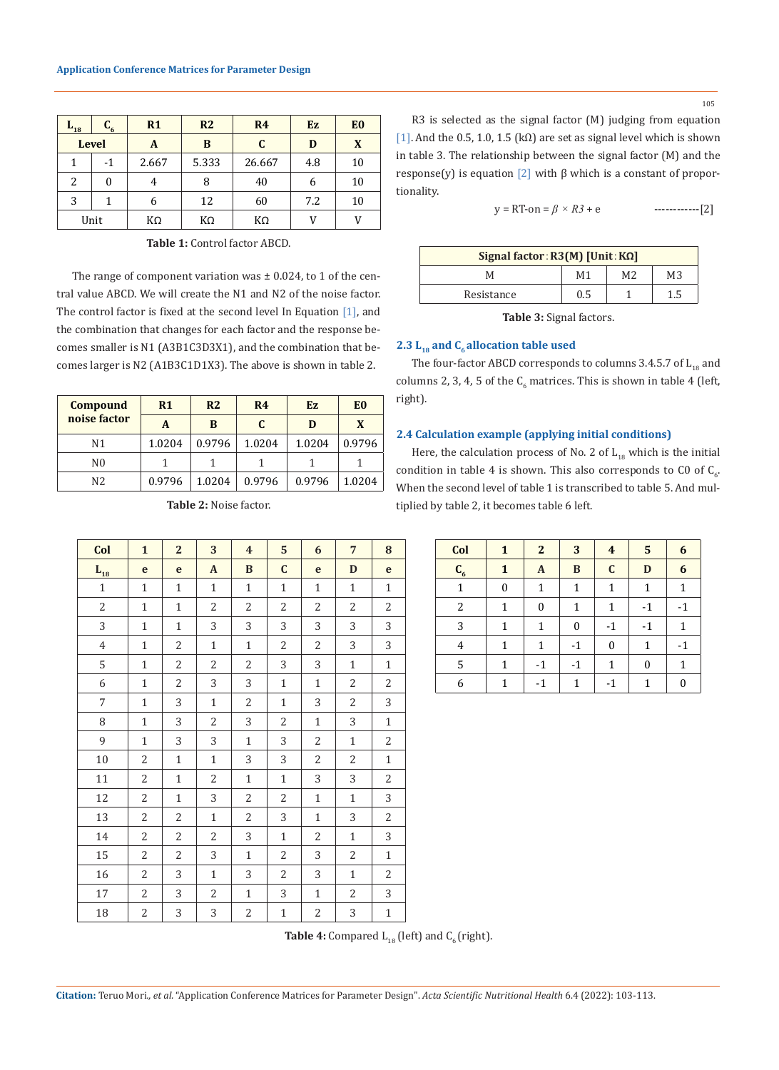| $L_{18}$ | $C_{6}$      | R1    | R <sub>2</sub> | R <sub>4</sub> | Ez  | E <sub>0</sub> |
|----------|--------------|-------|----------------|----------------|-----|----------------|
|          | <b>Level</b> | A     | B              | C              | D   | X              |
| 1        | $-1$         | 2.667 | 5.333          | 26.667         | 4.8 | 10             |
| 2        | $\theta$     | 4     | 8              | 40             | 6   | 10             |
| 3        | 1            | 6     | 12             | 60             | 7.2 | 10             |
|          | Unit         | KΩ    | ΚΩ             | КΩ             | V   | V              |

**Table 1:** Control factor ABCD.

The range of component variation was  $\pm$  0.024, to 1 of the central value ABCD. We will create the N1 and N2 of the noise factor. The control factor is fixed at the second level In Equation [1], and the combination that changes for each factor and the response becomes smaller is N1 (A3B1C3D3X1), and the combination that becomes larger is N2 (A1B3C1D1X3). The above is shown in table 2.

| <b>Compound</b> | R <sub>1</sub> | R <sub>2</sub> | R <sub>4</sub> | Ez     | E <sub>0</sub> |
|-----------------|----------------|----------------|----------------|--------|----------------|
| noise factor    | A              | B              | C.             | D      | X              |
| N1              | 1.0204         | 0.9796         | 1.0204         | 1.0204 | 0.9796         |
| N <sub>0</sub>  |                |                |                |        |                |
| N <sub>2</sub>  | 0.9796         | 1.0204         | 0.9796         | 0.9796 | 1.0204         |

| Col                        | $\mathbf{1}$   | $\overline{2}$ | 3              | $\overline{4}$ | $5\phantom{1}$ | 6              | $7\overline{ }$ | 8              | Col            | $\mathbf{1}$ | $2^{\circ}$  | 3            | $\overline{4}$ | 5 <sup>1</sup> | 6                |
|----------------------------|----------------|----------------|----------------|----------------|----------------|----------------|-----------------|----------------|----------------|--------------|--------------|--------------|----------------|----------------|------------------|
| $\mathbf{L}_{\mathbf{18}}$ | e              | $\mathbf{e}$   | $\mathbf{A}$   | B              | $\mathbf C$    | $\mathbf{e}$   | D               | $\mathbf{e}$   | $C_6$          | $\mathbf{1}$ | $\mathbf{A}$ | $\mathbf{B}$ | $\mathbf{C}$   | D              | 6                |
| $\mathbf{1}$               | $\mathbf{1}$   | $\mathbf{1}$   | $\mathbf{1}$   | $\mathbf{1}$   | $\mathbf{1}$   | $\mathbf{1}$   | $\mathbf{1}$    | $\mathbf{1}$   | $\mathbf{1}$   | $\mathbf{0}$ | $\mathbf{1}$ | $\mathbf{1}$ | $\mathbf{1}$   | $\mathbf{1}$   | $\mathbf 1$      |
| $\overline{2}$             | $\mathbf{1}$   | $\mathbf{1}$   | 2              | $\overline{2}$ | $\overline{2}$ | $\overline{2}$ | $\overline{2}$  | $\overline{2}$ | $\overline{2}$ | $\mathbf{1}$ | $\mathbf{0}$ | $\mathbf{1}$ | $\mathbf{1}$   | $-1$           | $-1$             |
| $\overline{3}$             | $\mathbf{1}$   | $\mathbf{1}$   | 3              | 3              | 3              | 3              | 3               | 3              | 3              | $\mathbf{1}$ | $\mathbf{1}$ | $\mathbf{0}$ | $-1$           | $-1$           | $\mathbf{1}$     |
| $\overline{4}$             | $\mathbf{1}$   | $\overline{2}$ | $\mathbf{1}$   | $\mathbf{1}$   | 2              | 2              | 3               | 3              | $\overline{4}$ | $\mathbf{1}$ | $\mathbf{1}$ | $-1$         | $\mathbf{0}$   | $\mathbf{1}$   | $-1$             |
| 5                          | $\mathbf{1}$   | $\overline{2}$ | 2              | $\overline{2}$ | $\overline{3}$ | 3              | $\mathbf{1}$    | $\mathbf{1}$   | 5              | $\mathbf{1}$ | $-1$         | $-1$         | $\mathbf{1}$   | $\bf{0}$       | $\mathbf{1}$     |
| 6                          | $\mathbf{1}$   | $\overline{2}$ | $\overline{3}$ | 3              | $\mathbf{1}$   | $\mathbf{1}$   | $\overline{2}$  | $\overline{2}$ | 6              | $\mathbf{1}$ | $-1$         | $\mathbf{1}$ | $-1$           | $\mathbf{1}$   | $\boldsymbol{0}$ |
| $\overline{7}$             | $\mathbf{1}$   | 3              | $\mathbf{1}$   | 2              | $\mathbf{1}$   | 3              | 2               | 3              |                |              |              |              |                |                |                  |
| 8                          | $\mathbf{1}$   | 3              | $\overline{2}$ | 3              | 2              | $\mathbf{1}$   | 3               | $\mathbf{1}$   |                |              |              |              |                |                |                  |
| 9                          | $\mathbf{1}$   | 3              | $\overline{3}$ | $\mathbf{1}$   | 3              | 2              | $\mathbf{1}$    | $\overline{2}$ |                |              |              |              |                |                |                  |
| 10                         | $\overline{2}$ | $\mathbf{1}$   | $\mathbf{1}$   | 3              | 3              | 2              | $\overline{2}$  | $\mathbf{1}$   |                |              |              |              |                |                |                  |
| 11                         | 2              | $\mathbf{1}$   | $\overline{2}$ | $\mathbf{1}$   | $\mathbf{1}$   | 3              | 3               | $\overline{2}$ |                |              |              |              |                |                |                  |
| 12                         | $\overline{2}$ | $\mathbf{1}$   | $\overline{3}$ | $\overline{2}$ | $\overline{2}$ | $\mathbf{1}$   | $\mathbf{1}$    | 3              |                |              |              |              |                |                |                  |
| 13                         | $\overline{2}$ | $\overline{2}$ | $\mathbf{1}$   | $\overline{2}$ | $\overline{3}$ | $\mathbf{1}$   | $\overline{3}$  | $\overline{2}$ |                |              |              |              |                |                |                  |
| 14                         | 2              | $\overline{2}$ | $\overline{2}$ | 3              | $\mathbf{1}$   | 2              | $\mathbf{1}$    | 3              |                |              |              |              |                |                |                  |
| 15                         | $\overline{2}$ | $\overline{2}$ | 3              | $\mathbf{1}$   | $\overline{2}$ | 3              | $\overline{2}$  | $\mathbf{1}$   |                |              |              |              |                |                |                  |
| 16                         | $\overline{2}$ | 3              | $\mathbf{1}$   | 3              | $\overline{2}$ | 3              | $\mathbf{1}$    | $\overline{2}$ |                |              |              |              |                |                |                  |
| 17                         | 2              | 3              | 2              | $\mathbf{1}$   | 3              | $\mathbf{1}$   | 2               | 3              |                |              |              |              |                |                |                  |
| 18                         | $\overline{2}$ | 3              | 3              | 2              | $\mathbf{1}$   | 2              | 3               | $\mathbf{1}$   |                |              |              |              |                |                |                  |

 $y = RT \text{-}on = \beta \times R3 + e$  ------------[2] **Signal factor**:**R3(M) [Unit**:**KΩ]**

| $Signal factor: R3[M]   Unit: RΩ $ |     |    |     |  |  |  |  |  |
|------------------------------------|-----|----|-----|--|--|--|--|--|
|                                    | М1  | М2 | M3  |  |  |  |  |  |
| Resistance                         | 0.5 |    | 1.5 |  |  |  |  |  |
|                                    |     |    |     |  |  |  |  |  |

R3 is selected as the signal factor (M) judging from equation [1]. And the 0.5, 1.0, 1.5 (kΩ) are set as signal level which is shown in table 3. The relationship between the signal factor (M) and the response(y) is equation [2] with  $\beta$  which is a constant of propor-

**Table 3:** Signal factors.

## 2.3 L<sub>18</sub> and C<sub>6</sub> allocation table used

tionality.

The four-factor ABCD corresponds to columns 3.4.5.7 of  $L_{18}$  and columns 2, 3, 4, 5 of the  $\mathsf{C}_6$  matrices. This is shown in table 4 (left, right).

## **2.4 Calculation example (applying initial conditions)**

Here, the calculation process of No. 2 of  $L_{18}$  which is the initial condition in table 4 is shown. This also corresponds to C0 of  $\mathsf{C}_6$ . When the second level of table 1 is transcribed to table 5. And multiplied by table 2, it becomes table 6 left.

| Col            | 1        | $\mathbf{2}$     | 3        | $\overline{4}$   | 5            | 6    |
|----------------|----------|------------------|----------|------------------|--------------|------|
| $C_{6}$        | 1        | $\boldsymbol{A}$ | B        | $\mathbf C$      | D            | 6    |
| 1              | $\theta$ | 1                | 1        | 1                | 1            | 1    |
| $\overline{2}$ | 1        | $\theta$         | 1        | 1                | $-1$         | $-1$ |
| 3              | 1        | 1                | $\theta$ | $-1$             | $-1$         | 1    |
| 4              | 1        | 1                | $-1$     | $\boldsymbol{0}$ | 1            | $-1$ |
| 5              | 1        | $-1$             | $-1$     | 1                | $\mathbf{0}$ | 1    |
| 6              | 1        | $-1$             | 1        | -1               | 1            | 0    |

**Table 4:** Compared  $L_{18}$  (left) and  $C_6$  (right).

**Citation:** Teruo Mori*., et al.* "Application Conference Matrices for Parameter Design". *Acta Scientific Nutritional Health* 6.4 (2022): 103-113.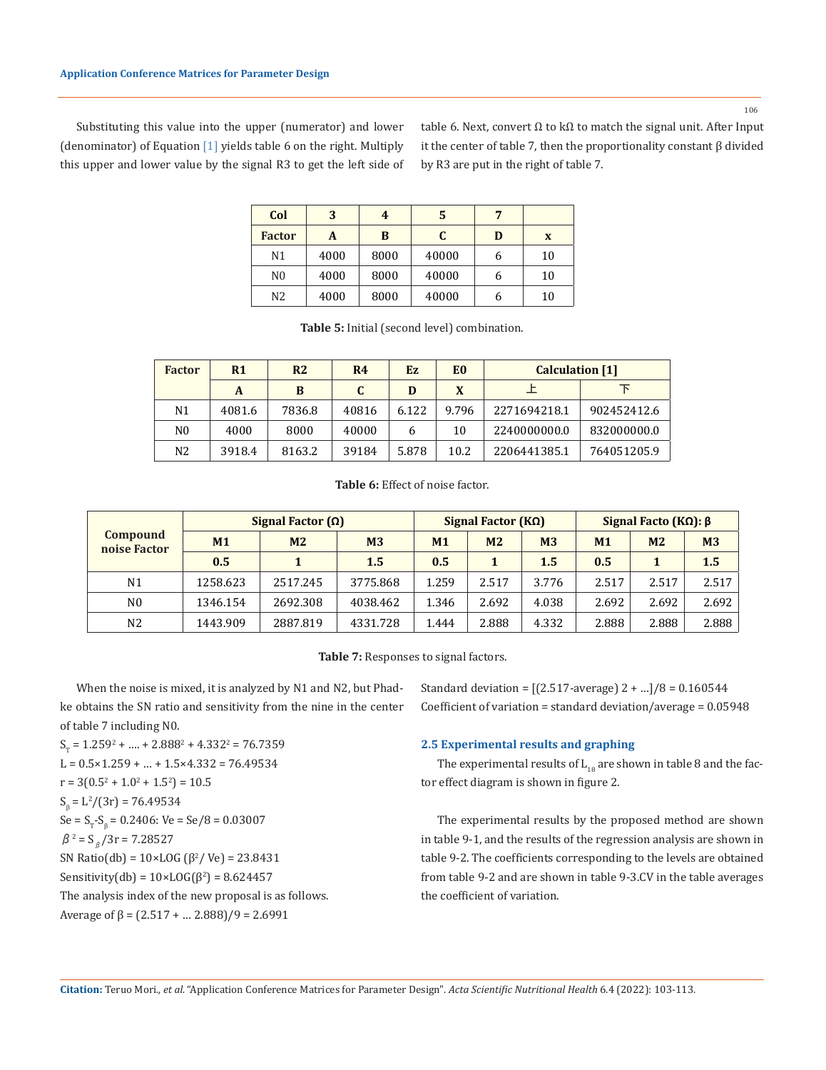106

Substituting this value into the upper (numerator) and lower (denominator) of Equation [1] yields table 6 on the right. Multiply this upper and lower value by the signal R3 to get the left side of table 6. Next, convert Ω to kΩ to match the signal unit. After Input it the center of table 7, then the proportionality constant β divided by R3 are put in the right of table 7.

| Col            | 3    | 4    | 5     | 7 |    |
|----------------|------|------|-------|---|----|
| <b>Factor</b>  | A    | B    | C     | D | X  |
| N <sub>1</sub> | 4000 | 8000 | 40000 | h | 10 |
| N <sub>0</sub> | 4000 | 8000 | 40000 | 6 | 10 |
| N <sub>2</sub> | 4000 | 8000 | 40000 | h | 10 |

**Table 5:** Initial (second level) combination.

| <b>Factor</b> | R <sub>1</sub> | R <sub>2</sub> | R4    | Ez.   | E0    | <b>Calculation</b> [1] |             |
|---------------|----------------|----------------|-------|-------|-------|------------------------|-------------|
|               | A              | B              | C.    | D     | X     |                        |             |
| Ν1            | 4081.6         | 7836.8         | 40816 | 6.122 | 9.796 | 2271694218.1           | 902452412.6 |
| N0            | 4000           | 8000           | 40000 | 6     | 10    | 2240000000.0           | 832000000.0 |
| N2            | 3918.4         | 8163.2         | 39184 | 5.878 | 10.2  | 2206441385.1           | 764051205.9 |

**Table 6:** Effect of noise factor.

|                                 | Signal Factor $(\Omega)$ |                |                |       | Signal Factor $(K\Omega)$ |                | Signal Facto ( $K\Omega$ ): $\beta$ |                |                |  |
|---------------------------------|--------------------------|----------------|----------------|-------|---------------------------|----------------|-------------------------------------|----------------|----------------|--|
| <b>Compound</b><br>noise Factor | M <sub>1</sub>           | M <sub>2</sub> | M <sub>3</sub> | M1    | M <sub>2</sub>            | M <sub>3</sub> | M <sub>1</sub>                      | M <sub>2</sub> | M <sub>3</sub> |  |
|                                 | 0.5                      | 0.5<br>1.5     |                |       | 0.5                       |                | 1.5                                 |                |                |  |
| N <sub>1</sub>                  | 1258.623                 | 2517.245       | 3775.868       | 1.259 | 2.517                     | 3.776          | 2.517                               | 2.517          | 2.517          |  |
| N <sub>0</sub>                  | 1346.154                 | 2692.308       | 4038.462       | 1.346 | 2.692                     | 4.038          | 2.692                               | 2.692          | 2.692          |  |
| N <sub>2</sub>                  | 1443.909                 | 2887.819       | 4331.728       | 1.444 | 2.888                     | 4.332          | 2.888                               | 2.888          | 2.888          |  |

**Table 7:** Responses to signal factors.

When the noise is mixed, it is analyzed by N1 and N2, but Phadke obtains the SN ratio and sensitivity from the nine in the center of table 7 including N0.

 $S_{\text{T}}$  = 1.259<sup>2</sup> + .... + 2.888<sup>2</sup> + 4.332<sup>2</sup> = 76.7359  $L = 0.5 \times 1.259 + ... + 1.5 \times 4.332 = 76.49534$  $r = 3(0.5^2 + 1.0^2 + 1.5^2) = 10.5$  $S_{\beta} = L^2/(3r) = 76.49534$  $\text{Se} = \text{S}_{\text{T}}\text{-S}_{\text{\beta}} = 0.2406$ : Ve = Se/8 = 0.03007  $β^2 = S<sub>β</sub>/3r = 7.28527$ SN Ratio(db) =  $10 \times$ LOG ( $\beta^2$ /Ve) = 23.8431 Sensitivity(db) =  $10 \times$ LOG( $\beta^2$ ) = 8.624457 The analysis index of the new proposal is as follows. Average of  $\beta = (2.517 + ... 2.888)/9 = 2.6991$ 

Standard deviation = [(2.517-average) 2 + …]/8 = 0.160544 Coefficient of variation = standard deviation/average = 0.05948

#### **2.5 Experimental results and graphing**

The experimental results of  $\mathop{\hbox{\rm L}}\nolimits_{18}$  are shown in table 8 and the factor effect diagram is shown in figure 2.

The experimental results by the proposed method are shown in table 9-1, and the results of the regression analysis are shown in table 9-2. The coefficients corresponding to the levels are obtained from table 9-2 and are shown in table 9-3.CV in the table averages the coefficient of variation.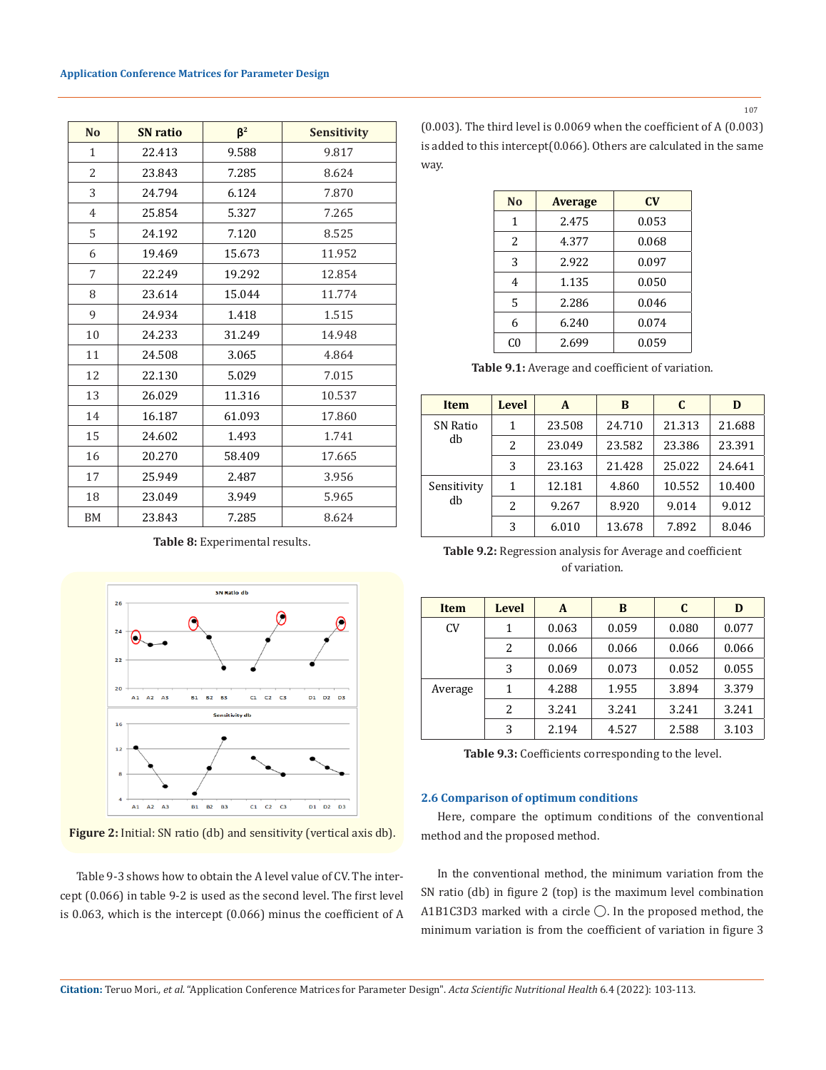#### **Application Conference Matrices for Parameter Design**

| N <sub>0</sub> | <b>SN</b> ratio | $\beta^2$ | <b>Sensitivity</b> |
|----------------|-----------------|-----------|--------------------|
| $\mathbf{1}$   | 22.413          | 9.588     | 9.817              |
| 2              | 23.843          | 7.285     | 8.624              |
| 3              | 24.794          | 6.124     | 7.870              |
| 4              | 25.854          | 5.327     | 7.265              |
| 5              | 24.192          | 7.120     | 8.525              |
| 6              | 19.469          | 15.673    | 11.952             |
| 7              | 22.249          | 19.292    | 12.854             |
| 8              | 23.614          | 15.044    | 11.774             |
| 9              | 24.934          | 1.418     | 1.515              |
| 10             | 24.233          | 31.249    | 14.948             |
| 11             | 24.508          | 3.065     | 4.864              |
| 12             | 22.130          | 5.029     | 7.015              |
| 13             | 26.029          | 11.316    | 10.537             |
| 14             | 16.187          | 61.093    | 17.860             |
| 15             | 24.602          | 1.493     | 1.741              |
| 16             | 20.270          | 58.409    | 17.665             |
| 17             | 25.949          | 2.487     | 3.956              |
| 18             | 23.049          | 3.949     | 5.965              |
| <b>BM</b>      | 23.843          | 7.285     | 8.624              |

**Table 8:** Experimental results.



**Figure 2:** Initial: SN ratio (db) and sensitivity (vertical axis db).

Table 9-3 shows how to obtain the A level value of CV. The intercept (0.066) in table 9-2 is used as the second level. The first level is 0.063, which is the intercept (0.066) minus the coefficient of A (0.003). The third level is 0.0069 when the coefficient of A (0.003) is added to this intercept(0.066). Others are calculated in the same way.

| No | <b>Average</b> | $\mathbf{C}\mathbf{V}$ |
|----|----------------|------------------------|
| 1  | 2.475          | 0.053                  |
| 2  | 4.377          | 0.068                  |
| 3  | 2.922          | 0.097                  |
| 4  | 1.135          | 0.050                  |
| 5  | 2.286          | 0.046                  |
| 6  | 6.240          | 0.074                  |
| C0 | 2.699          | 0.059                  |

**Table 9.1:** Average and coefficient of variation.

| <b>Item</b>       | <b>Level</b>             | A      | B      | C      | D      |
|-------------------|--------------------------|--------|--------|--------|--------|
| SN Ratio<br>db    | 1                        | 23.508 | 24.710 | 21.313 | 21.688 |
|                   | $\mathcal{L}$            | 23.049 | 23.582 | 23.386 | 23.391 |
|                   | 3                        | 23.163 | 21.428 | 25.022 | 24.641 |
| Sensitivity<br>db | 1                        | 12.181 | 4.860  | 10.552 | 10.400 |
|                   | $\overline{\mathcal{L}}$ | 9.267  | 8.920  | 9.014  | 9.012  |
|                   | 3                        | 6.010  | 13.678 | 7.892  | 8.046  |

**Table 9.2:** Regression analysis for Average and coefficient of variation.

| <b>Item</b> | <b>Level</b> | A     | B     | C     | D     |
|-------------|--------------|-------|-------|-------|-------|
| <b>CV</b>   | 1            | 0.063 | 0.059 | 0.080 | 0.077 |
|             | 2            | 0.066 | 0.066 | 0.066 | 0.066 |
|             | 3            | 0.069 | 0.073 | 0.052 | 0.055 |
| Average     | 1            | 4.288 | 1.955 | 3.894 | 3.379 |
|             | 2            | 3.241 | 3.241 | 3.241 | 3.241 |
|             | 3            | 2.194 | 4.527 | 2.588 | 3.103 |

**Table 9.3:** Coefficients corresponding to the level.

### **2.6 Comparison of optimum conditions**

Here, compare the optimum conditions of the conventional method and the proposed method.

In the conventional method, the minimum variation from the SN ratio (db) in figure 2 (top) is the maximum level combination A1B1C3D3 marked with a circle ◯. In the proposed method, the minimum variation is from the coefficient of variation in figure 3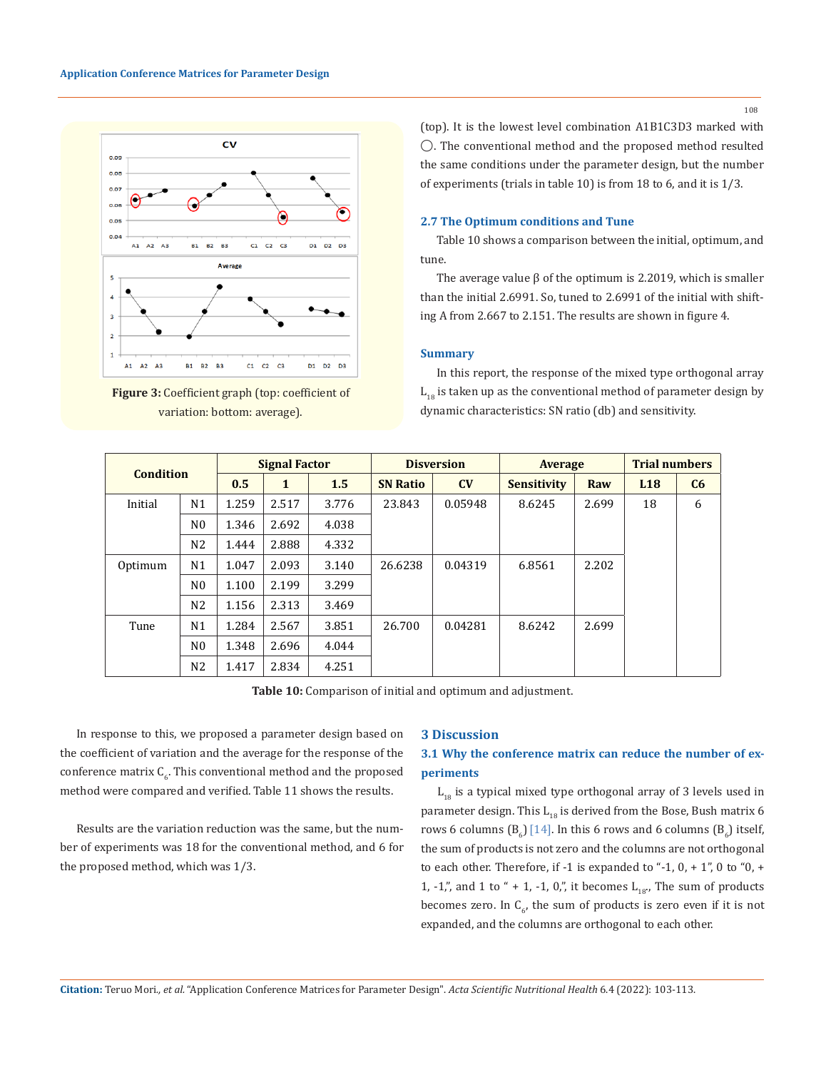



(top). It is the lowest level combination A1B1C3D3 marked with ◯. The conventional method and the proposed method resulted the same conditions under the parameter design, but the number of experiments (trials in table 10) is from 18 to 6, and it is 1/3.

## **2.7 The Optimum conditions and Tune**

Table 10 shows a comparison between the initial, optimum, and tune.

The average value  $\beta$  of the optimum is 2.2019, which is smaller than the initial 2.6991. So, tuned to 2.6991 of the initial with shifting A from 2.667 to 2.151. The results are shown in figure 4.

#### **Summary**

In this report, the response of the mixed type orthogonal array  $L_{18}$  is taken up as the conventional method of parameter design by dynamic characteristics: SN ratio (db) and sensitivity.

| <b>Condition</b> |                | <b>Signal Factor</b> |       | <b>Disversion</b> |                 | Average |                    | <b>Trial numbers</b> |                 |    |
|------------------|----------------|----------------------|-------|-------------------|-----------------|---------|--------------------|----------------------|-----------------|----|
|                  |                | 0.5                  | 1     | 1.5               | <b>SN Ratio</b> | CV      | <b>Sensitivity</b> | Raw                  | L <sub>18</sub> | C6 |
| Initial          | N <sub>1</sub> | 1.259                | 2.517 | 3.776             | 23.843          | 0.05948 | 8.6245             | 2.699                | 18              | 6  |
|                  | N <sub>0</sub> | 1.346                | 2.692 | 4.038             |                 |         |                    |                      |                 |    |
|                  | N <sub>2</sub> | 1.444                | 2.888 | 4.332             |                 |         |                    |                      |                 |    |
| Optimum          | N <sub>1</sub> | 1.047                | 2.093 | 3.140             | 26.6238         | 0.04319 | 6.8561             | 2.202                |                 |    |
|                  | N <sub>0</sub> | 1.100                | 2.199 | 3.299             |                 |         |                    |                      |                 |    |
|                  | N <sub>2</sub> | 1.156                | 2.313 | 3.469             |                 |         |                    |                      |                 |    |
| Tune             | N1             | 1.284                | 2.567 | 3.851             | 26.700          | 0.04281 | 8.6242             | 2.699                |                 |    |
|                  | N <sub>0</sub> | 1.348                | 2.696 | 4.044             |                 |         |                    |                      |                 |    |
|                  | N <sub>2</sub> | 1.417                | 2.834 | 4.251             |                 |         |                    |                      |                 |    |

**Table 10:** Comparison of initial and optimum and adjustment.

In response to this, we proposed a parameter design based on the coefficient of variation and the average for the response of the conference matrix  $C_{6}$ . This conventional method and the proposed method were compared and verified. Table 11 shows the results.

Results are the variation reduction was the same, but the number of experiments was 18 for the conventional method, and 6 for the proposed method, which was 1/3.

### **3 Discussion**

## **3.1 Why the conference matrix can reduce the number of experiments**

 $L_{18}$  is a typical mixed type orthogonal array of 3 levels used in parameter design. This  $L_{18}$  is derived from the Bose, Bush matrix 6 rows 6 columns (B<sub>6</sub>) [14]. In this 6 rows and 6 columns (B<sub>6</sub>) itself, the sum of products is not zero and the columns are not orthogonal to each other. Therefore, if  $-1$  is expanded to " $-1$ , 0,  $+1$ ", 0 to "0,  $+$ 1, -1,", and 1 to " + 1, -1, 0,", it becomes  $L_{18}$ , The sum of products becomes zero. In  $C_{6'}$  the sum of products is zero even if it is not expanded, and the columns are orthogonal to each other.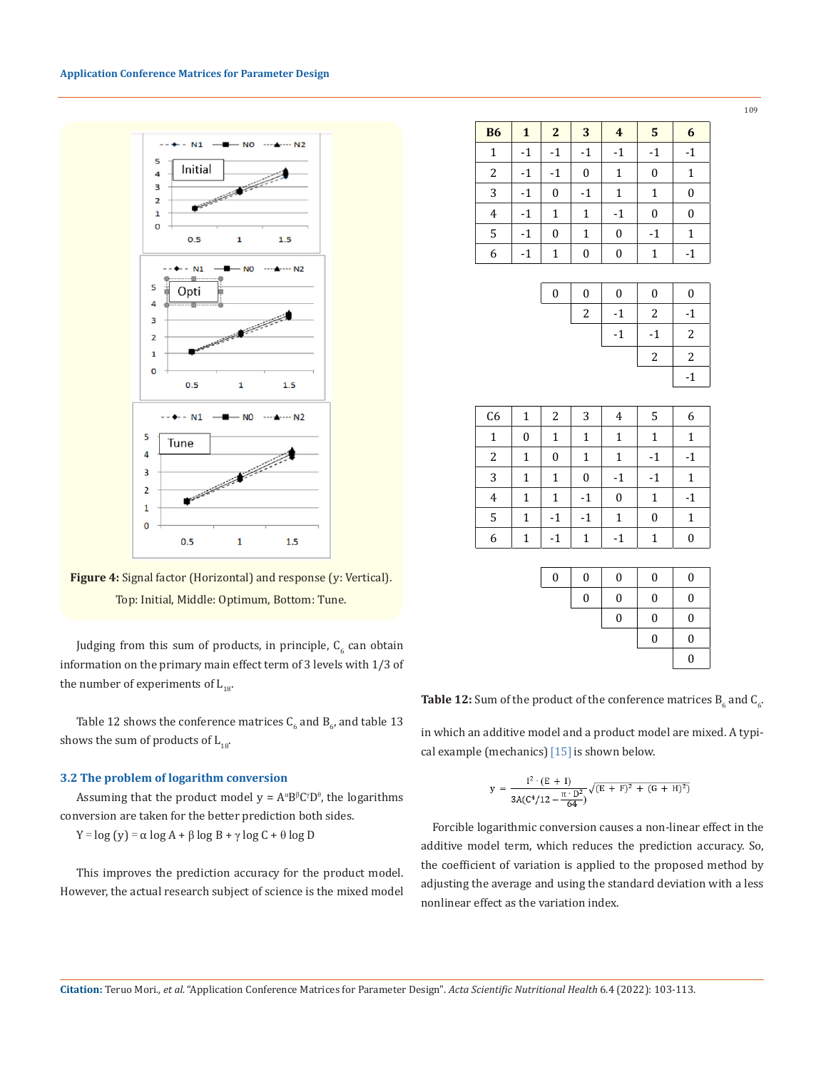#### **Application Conference Matrices for Parameter Design**



**Figure 4:** Signal factor (Horizontal) and response (y: Vertical). Top: Initial, Middle: Optimum, Bottom: Tune.

Judging from this sum of products, in principle,  $\mathsf{C}_6$  can obtain information on the primary main effect term of 3 levels with 1/3 of the number of experiments of  $L_{18}$ .

Table 12 shows the conference matrices  $\mathsf{C}_6$  and  $\mathsf{B}_{6'}$  and table 13  $^+$ shows the sum of products of  $L_{18}$ .

#### **3.2 The problem of logarithm conversion**

Assuming that the product model  $y = A^{\alpha}B^{\beta}C^{\gamma}D^{\theta}$ , the logarithms conversion are taken for the better prediction both sides.

Y = log (y) = α log A + β log B + γ log C + θ log D

This improves the prediction accuracy for the product model. However, the actual research subject of science is the mixed model

| <b>B6</b>        | $\mathbf{1}$ | $\overline{2}$   | 3                | $\overline{4}$   | 5        | 6                |
|------------------|--------------|------------------|------------------|------------------|----------|------------------|
| $\mathbf{1}$     | $-1$         | $-1$             | $-1$             | $-1$             | $-1$     | $-1$             |
| $\boldsymbol{2}$ | $-1$         | $-1$             | $\boldsymbol{0}$ | 1                | 0        | 1                |
| 3                | $-1$         | $\boldsymbol{0}$ | $-1$             | $\mathbf 1$      | 1        | $\boldsymbol{0}$ |
| $\overline{4}$   | $-1$         | $\mathbf{1}$     | $\mathbf{1}$     | $-1$             | $\bf{0}$ | $\boldsymbol{0}$ |
| 5                | $-1$         | $\bf{0}$         | $\mathbf{1}$     | $\boldsymbol{0}$ | $-1$     | $\mathbf{1}$     |
| 6                | $-1$         | 1                | $\bf{0}$         | $\boldsymbol{0}$ | 1        | $-1$             |
|                  |              |                  |                  |                  |          |                  |
|                  |              | $\Omega$         | $\Omega$         | $\Omega$         | U        | U                |

| 0 | 0 | 0  | 0    | 0  |
|---|---|----|------|----|
|   | 2 | -1 | 2    | -1 |
|   |   | -1 | $-1$ | 2  |
|   |   |    | 2    | 2  |
|   |   |    |      | -1 |

| 5<br>3<br>C <sub>6</sub><br>2<br>1<br>6<br>$\overline{4}$<br>1<br>0<br>1<br>1<br>1<br>$\mathbf{1}$<br>1 |  |
|---------------------------------------------------------------------------------------------------------|--|
|                                                                                                         |  |
|                                                                                                         |  |
| $\overline{c}$<br>$-1$<br>$\boldsymbol{0}$<br>1<br>1<br>$\mathbf{1}$<br>$-1$                            |  |
| 3<br>$-1$<br>1<br>1<br>0<br>$-1$<br>1                                                                   |  |
| $\mathbf{1}$<br>1<br>$-1$<br>0<br>$-1$<br>1<br>$\overline{4}$                                           |  |
| 5<br>$-1$<br>0<br>1<br>$-1$<br>1<br>1                                                                   |  |
| 6<br>$-1$<br>$-1$<br>0<br>1<br>1<br>1                                                                   |  |

| $\mathbf{0}$ | 0 | $\mathbf{0}$     | $\mathbf{0}$     | $\mathbf{0}$ |
|--------------|---|------------------|------------------|--------------|
|              | 0 | $\boldsymbol{0}$ | $\boldsymbol{0}$ | $\bf{0}$     |
|              |   | 0                | $\boldsymbol{0}$ | $\bf{0}$     |
|              |   |                  | 0                | $\mathbf{0}$ |
|              |   |                  |                  | 0            |

**Table 12:** Sum of the product of the conference matrices  $B_6$  and  $C_6$ .

in which an additive model and a product model are mixed. A typical example (mechanics)  $[15]$  is shown below.

$$
y = \frac{I^2 \cdot (E + I)}{3A(C^4/12 - \frac{\pi \cdot D^2}{64})} \sqrt{(E + F)^2 + (G + H)^2)}
$$

 Forcible logarithmic conversion causes a non-linear effect in the additive model term, which reduces the prediction accuracy. So, the coefficient of variation is applied to the proposed method by adjusting the average and using the standard deviation with a less nonlinear effect as the variation index.

**Citation:** Teruo Mori*., et al.* "Application Conference Matrices for Parameter Design". *Acta Scientific Nutritional Health* 6.4 (2022): 103-113.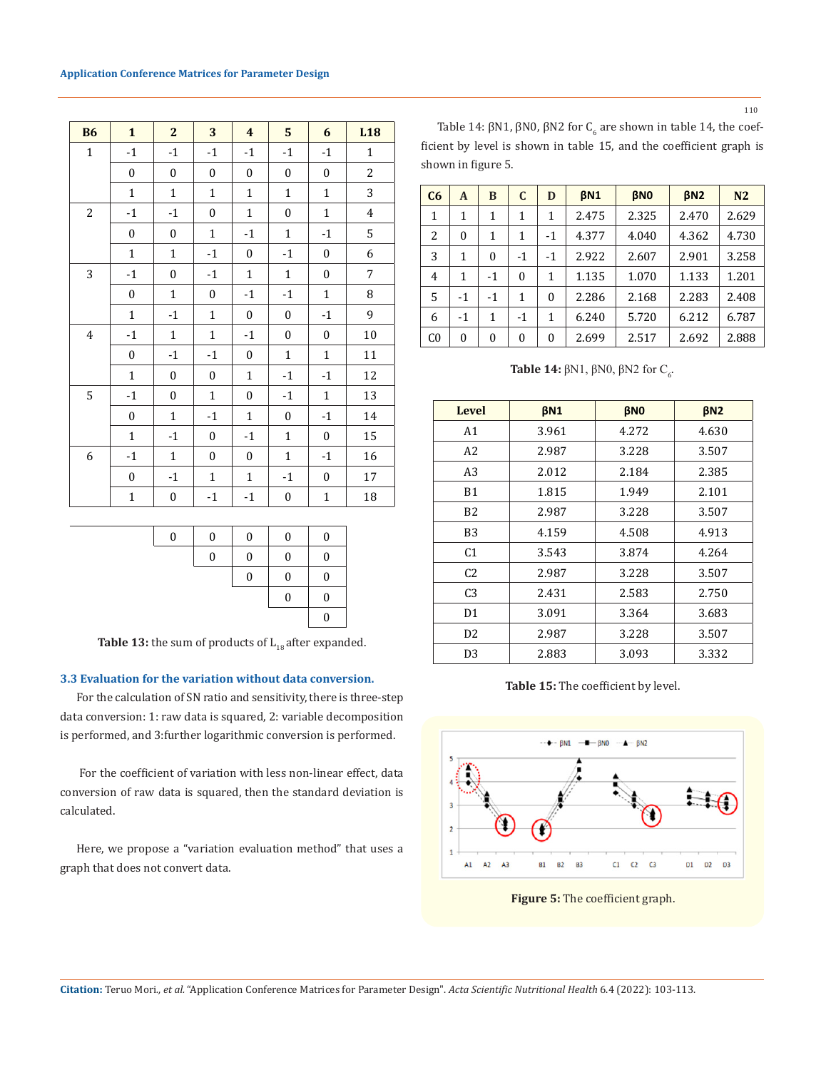

| <b>B6</b>      | $\mathbf{1}$     | $\mathbf{2}$     | 3                | $\overline{\mathbf{4}}$ | 5                | 6                | L <sub>18</sub>         |
|----------------|------------------|------------------|------------------|-------------------------|------------------|------------------|-------------------------|
| $\mathbf{1}$   | $-1$             | $-1$             | $-1$             | $-1$                    | $-1$             | $-1$             | $\mathbf{1}$            |
|                | $\boldsymbol{0}$ | 0                | $\boldsymbol{0}$ | $\boldsymbol{0}$        | $\boldsymbol{0}$ | $\boldsymbol{0}$ | $\overline{c}$          |
|                | $\mathbf{1}$     | $\mathbf{1}$     | $\mathbf{1}$     | $\mathbf{1}$            | $\mathbf{1}$     | $\mathbf{1}$     | 3                       |
| $\overline{c}$ | $-1$             | $-1$             | $\boldsymbol{0}$ | $\mathbf{1}$            | $\boldsymbol{0}$ | $\mathbf{1}$     | $\overline{\mathbf{4}}$ |
|                | 0                | $\boldsymbol{0}$ | $\mathbf 1$      | $-1$                    | $\mathbf{1}$     | $-1$             | 5                       |
|                | $\mathbf{1}$     | $\mathbf{1}$     | $-1$             | $\boldsymbol{0}$        | $-1$             | $\boldsymbol{0}$ | 6                       |
| 3              | $-1$             | $\boldsymbol{0}$ | $-1$             | $\mathbf{1}$            | $\mathbf{1}$     | $\boldsymbol{0}$ | 7                       |
|                | $\boldsymbol{0}$ | $\mathbf{1}$     | $\boldsymbol{0}$ | $-1$                    | $-1$             | $\mathbf{1}$     | 8                       |
|                | $\mathbf{1}$     | $-1$             | $\mathbf{1}$     | 0                       | $\boldsymbol{0}$ | $-1$             | 9                       |
| $\overline{4}$ | $-1$             | $\mathbf{1}$     | $\mathbf{1}$     | $-1$                    | $\boldsymbol{0}$ | $\boldsymbol{0}$ | 10                      |
|                | 0                | $-1$             | $-1$             | $\boldsymbol{0}$        | $\mathbf{1}$     | $\mathbf{1}$     | 11                      |
|                | $\mathbf{1}$     | $\boldsymbol{0}$ | $\boldsymbol{0}$ | $\mathbf{1}$            | $-1$             | $-1$             | 12                      |
| 5              | $-1$             | 0                | $\mathbf{1}$     | $\boldsymbol{0}$        | $-1$             | $\mathbf{1}$     | 13                      |
|                | 0                | $\mathbf{1}$     | $-1$             | $\mathbf 1$             | $\boldsymbol{0}$ | $-1$             | 14                      |
|                | $\mathbf{1}$     | $-1$             | $\boldsymbol{0}$ | $-1$                    | $\mathbf{1}$     | 0                | 15                      |
| 6              | $-1$             | $\mathbf{1}$     | $\boldsymbol{0}$ | $\mathbf{0}$            | $\mathbf{1}$     | $-1$             | 16                      |
|                | $\boldsymbol{0}$ | $-1$             | $\mathbf{1}$     | $\mathbf 1$             | $-1$             | $\boldsymbol{0}$ | 17                      |
|                | $\mathbf{1}$     | 0                | $-1$             | $-1$                    | $\boldsymbol{0}$ | $\mathbf{1}$     | 18                      |



**Table 13:** the sum of products of  $L_{18}$  after expanded.

## **3.3 Evaluation for the variation without data conversion.**

For the calculation of SN ratio and sensitivity, there is three-step data conversion: 1: raw data is squared, 2: variable decomposition is performed, and 3:further logarithmic conversion is performed.

 For the coefficient of variation with less non-linear effect, data conversion of raw data is squared, then the standard deviation is calculated.

Here, we propose a "variation evaluation method" that uses a graph that does not convert data.

Table 14:  $\beta$ N1,  $\beta$ N0,  $\beta$ N2 for  $C_6$  are shown in table 14, the coefficient by level is shown in table 15, and the coefficient graph is shown in figure 5.

| C6             | A        | B            | $\mathbf C$ | D        | BN <sub>1</sub> | <b>BNO</b> | BN2   | N <sub>2</sub> |
|----------------|----------|--------------|-------------|----------|-----------------|------------|-------|----------------|
| 1              | 1        | 1            | 1           | 1        | 2.475           | 2.325      | 2.470 | 2.629          |
| 2              | 0        | 1            | 1           | $-1$     | 4.377           | 4.040      | 4.362 | 4.730          |
| 3              | 1        | $\theta$     | $-1$        | $-1$     | 2.922           | 2.607      | 2.901 | 3.258          |
| $\overline{4}$ | 1        | $-1$         | $\theta$    | 1        | 1.135           | 1.070      | 1.133 | 1.201          |
| 5              | $-1$     | $-1$         | 1           | $\theta$ | 2.286           | 2.168      | 2.283 | 2.408          |
| 6              | $-1$     | 1            | $-1$        | 1        | 6.240           | 5.720      | 6.212 | 6.787          |
| C <sub>0</sub> | $\theta$ | $\mathbf{0}$ | $\theta$    | 0        | 2.699           | 2.517      | 2.692 | 2.888          |

**Table 14:**  $βN1$ ,  $βN0$ ,  $βN2$  for  $C_6$ .

| <b>Level</b>   | <b>βN1</b> | <b>βNO</b> | $\beta$ N <sub>2</sub> |
|----------------|------------|------------|------------------------|
| A <sub>1</sub> | 3.961      | 4.272      | 4.630                  |
| A2             | 2.987      | 3.228      | 3.507                  |
| A <sub>3</sub> | 2.012      | 2.184      | 2.385                  |
| B1             | 1.815      | 1.949      | 2.101                  |
| B <sub>2</sub> | 2.987      | 3.228      | 3.507                  |
| B3             | 4.159      | 4.508      | 4.913                  |
| C <sub>1</sub> | 3.543      | 3.874      | 4.264                  |
| C <sub>2</sub> | 2.987      | 3.228      | 3.507                  |
| C <sub>3</sub> | 2.431      | 2.583      | 2.750                  |
| D1             | 3.091      | 3.364      | 3.683                  |
| D <sub>2</sub> | 2.987      | 3.228      | 3.507                  |
| D <sub>3</sub> | 2.883      | 3.093      | 3.332                  |

**Table 15:** The coefficient by level.



**Figure 5:** The coefficient graph.

**Citation:** Teruo Mori*., et al.* "Application Conference Matrices for Parameter Design". *Acta Scientific Nutritional Health* 6.4 (2022): 103-113.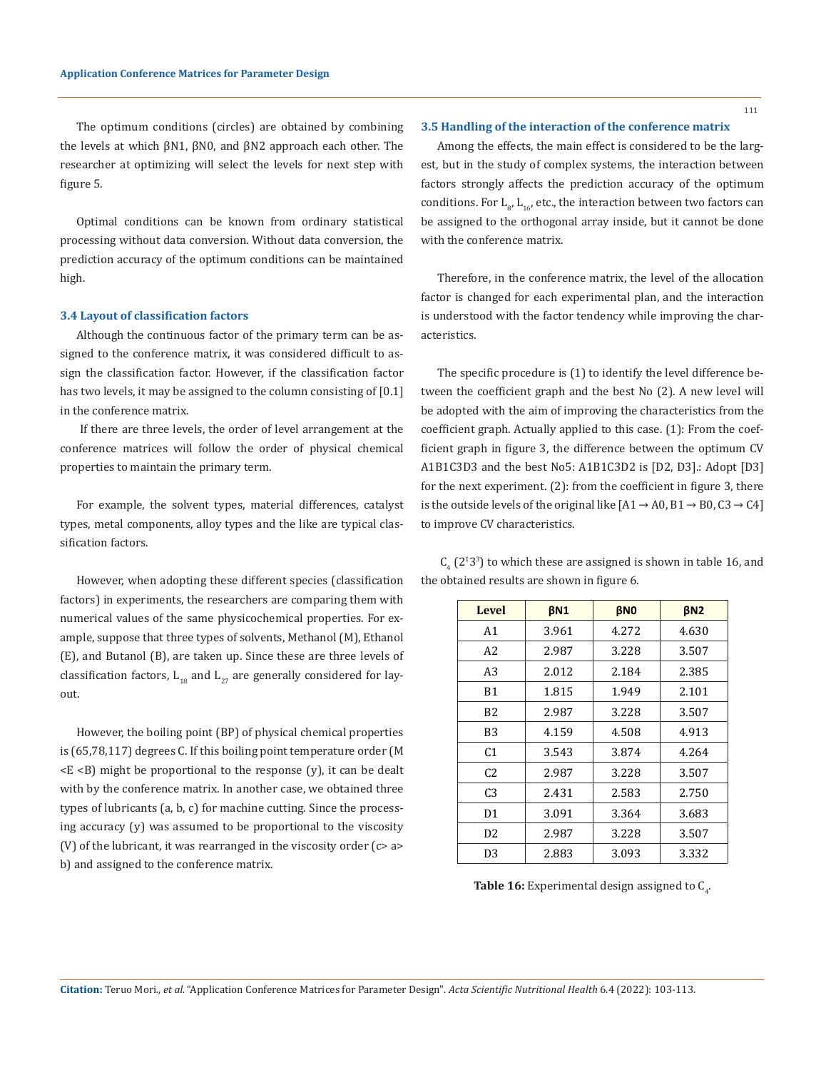The optimum conditions (circles) are obtained by combining the levels at which βN1, βN0, and βN2 approach each other. The researcher at optimizing will select the levels for next step with figure 5.

Optimal conditions can be known from ordinary statistical processing without data conversion. Without data conversion, the prediction accuracy of the optimum conditions can be maintained high.

#### **3.4 Layout of classification factors**

Although the continuous factor of the primary term can be assigned to the conference matrix, it was considered difficult to assign the classification factor. However, if the classification factor has two levels, it may be assigned to the column consisting of [0.1] in the conference matrix.

 If there are three levels, the order of level arrangement at the conference matrices will follow the order of physical chemical properties to maintain the primary term.

For example, the solvent types, material differences, catalyst types, metal components, alloy types and the like are typical classification factors.

However, when adopting these different species (classification factors) in experiments, the researchers are comparing them with numerical values of the same physicochemical properties. For example, suppose that three types of solvents, Methanol (M), Ethanol (E), and Butanol (B), are taken up. Since these are three levels of classification factors,  $L_{18}$  and  $L_{27}$  are generally considered for layout.

However, the boiling point (BP) of physical chemical properties is (65,78,117) degrees C. If this boiling point temperature order (M  $\langle E \rangle$  might be proportional to the response (y), it can be dealt with by the conference matrix. In another case, we obtained three types of lubricants (a, b, c) for machine cutting. Since the processing accuracy (y) was assumed to be proportional to the viscosity (V) of the lubricant, it was rearranged in the viscosity order (c> a> b) and assigned to the conference matrix.

### **3.5 Handling of the interaction of the conference matrix**

Among the effects, the main effect is considered to be the largest, but in the study of complex systems, the interaction between factors strongly affects the prediction accuracy of the optimum conditions. For  $\mathsf{L}_{\mathsf{g}'}$   $\mathsf{L}_{\mathsf{16'}}$  etc., the interaction between two factors can be assigned to the orthogonal array inside, but it cannot be done with the conference matrix.

Therefore, in the conference matrix, the level of the allocation factor is changed for each experimental plan, and the interaction is understood with the factor tendency while improving the characteristics.

The specific procedure is (1) to identify the level difference between the coefficient graph and the best No (2). A new level will be adopted with the aim of improving the characteristics from the coefficient graph. Actually applied to this case. (1): From the coefficient graph in figure 3, the difference between the optimum CV A1B1C3D3 and the best No5: A1B1C3D2 is [D2, D3].: Adopt [D3] for the next experiment. (2): from the coefficient in figure 3, there is the outside levels of the original like  $[A1 \rightarrow A0, B1 \rightarrow B0, C3 \rightarrow C4]$ to improve CV characteristics.

 $C_4$  (2<sup>1</sup>3<sup>3</sup>) to which these are assigned is shown in table 16, and the obtained results are shown in figure 6.

| <b>Level</b>   | BN <sub>1</sub> | <b>BNO</b> | BN2   |
|----------------|-----------------|------------|-------|
| A <sub>1</sub> | 3.961           | 4.272      | 4.630 |
| A2             | 2.987           | 3.228      | 3.507 |
| A3             | 2.012           | 2.184      | 2.385 |
| B1             | 1.815           | 1.949      | 2.101 |
| B <sub>2</sub> | 2.987           | 3.228      | 3.507 |
| B3             | 4.159           | 4.508      | 4.913 |
| C <sub>1</sub> | 3.543           | 3.874      | 4.264 |
| C <sub>2</sub> | 2.987           | 3.228      | 3.507 |
| C <sub>3</sub> | 2.431           | 2.583      | 2.750 |
| D1             | 3.091           | 3.364      | 3.683 |
| D <sub>2</sub> | 2.987           | 3.228      | 3.507 |
| D3             | 2.883           | 3.093      | 3.332 |

**Table 16:** Experimental design assigned to  $C_{\frac{1}{4}}$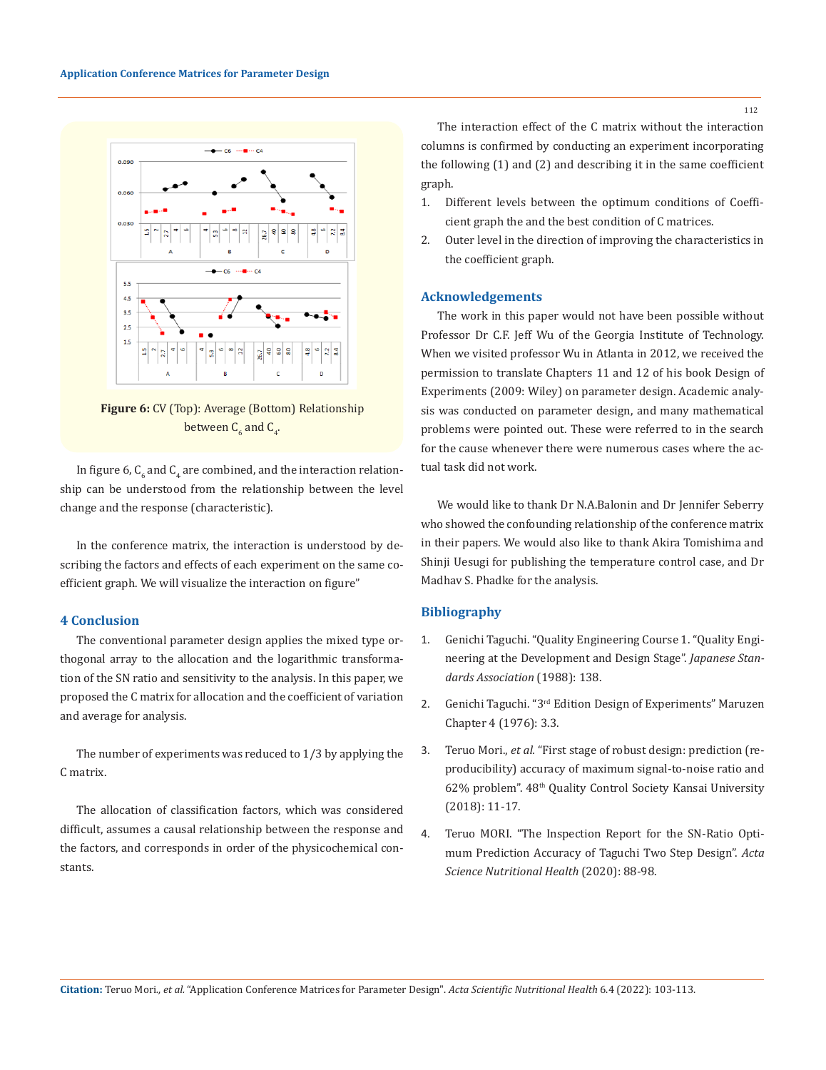

**Figure 6:** CV (Top): Average (Bottom) Relationship between  $\mathsf{C}_6$  and  $\mathsf{C}_4$ .

In figure 6,  $\mathsf{C}_6$  and  $\mathsf{C}_4$  are combined, and the interaction relationship can be understood from the relationship between the level change and the response (characteristic).

In the conference matrix, the interaction is understood by describing the factors and effects of each experiment on the same coefficient graph. We will visualize the interaction on figure"

## **4 Conclusion**

The conventional parameter design applies the mixed type orthogonal array to the allocation and the logarithmic transformation of the SN ratio and sensitivity to the analysis. In this paper, we proposed the C matrix for allocation and the coefficient of variation and average for analysis.

The number of experiments was reduced to 1/3 by applying the C matrix.

The allocation of classification factors, which was considered difficult, assumes a causal relationship between the response and the factors, and corresponds in order of the physicochemical constants.

The interaction effect of the C matrix without the interaction columns is confirmed by conducting an experiment incorporating the following (1) and (2) and describing it in the same coefficient graph.

- 1. Different levels between the optimum conditions of Coefficient graph the and the best condition of C matrices.
- 2. Outer level in the direction of improving the characteristics in the coefficient graph.

## **Acknowledgements**

The work in this paper would not have been possible without Professor Dr C.F. Jeff Wu of the Georgia Institute of Technology. When we visited professor Wu in Atlanta in 2012, we received the permission to translate Chapters 11 and 12 of his book Design of Experiments (2009: Wiley) on parameter design. Academic analysis was conducted on parameter design, and many mathematical problems were pointed out. These were referred to in the search for the cause whenever there were numerous cases where the actual task did not work.

We would like to thank Dr N.A.Balonin and Dr Jennifer Seberry who showed the confounding relationship of the conference matrix in their papers. We would also like to thank Akira Tomishima and Shinji Uesugi for publishing the temperature control case, and Dr Madhav S. Phadke for the analysis.

## **Bibliography**

- 1. Genichi Taguchi. "Quality Engineering Course 1. "Quality Engineering at the Development and Design Stage". *Japanese Standards Association* (1988): 138.
- 2. Genichi Taguchi. "3<sup>rd</sup> Edition Design of Experiments" Maruzen Chapter 4 (1976): 3.3.
- 3. Teruo Mori., *et al.* "First stage of robust design: prediction (reproducibility) accuracy of maximum signal-to-noise ratio and 62% problem". 48<sup>th</sup> Quality Control Society Kansai University (2018): 11-17.
- 4. [Teruo MORI. "The Inspection Report for the SN-Ratio Opti](https://www.actascientific.com/ASNH/pdf/ASNH-04-0674.pdf)[mum Prediction Accuracy of Taguchi Two Step Design".](https://www.actascientific.com/ASNH/pdf/ASNH-04-0674.pdf) *Acta [Science Nutritional Health](https://www.actascientific.com/ASNH/pdf/ASNH-04-0674.pdf)* (2020): 88-98.